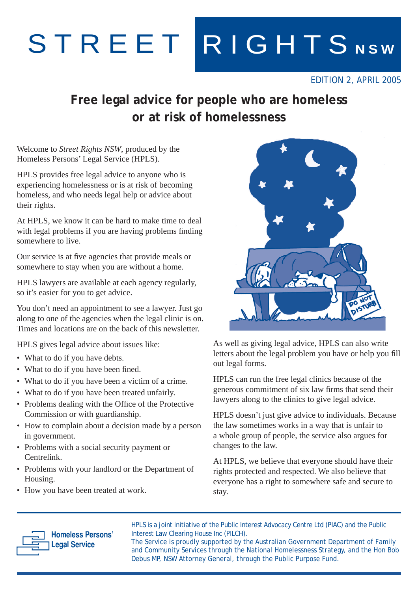# STREET RIGHTS **NSW**

#### EDITION 2, APRIL 2005

# **Free legal advice for people who are homeless or at risk of homelessness**

Welcome to *Street Rights NSW*, produced by the Homeless Persons' Legal Service (HPLS).

HPLS provides free legal advice to anyone who is experiencing homelessness or is at risk of becoming homeless, and who needs legal help or advice about their rights.

At HPLS, we know it can be hard to make time to deal with legal problems if you are having problems finding somewhere to live.

Our service is at five agencies that provide meals or somewhere to stay when you are without a home.

HPLS lawyers are available at each agency regularly, so it's easier for you to get advice.

You don't need an appointment to see a lawyer. Just go along to one of the agencies when the legal clinic is on. Times and locations are on the back of this newsletter.

HPLS gives legal advice about issues like:

- What to do if you have debts.
- What to do if you have been fined.
- What to do if you have been a victim of a crime.
- What to do if you have been treated unfairly.
- Problems dealing with the Office of the Protective Commission or with guardianship.
- How to complain about a decision made by a person in government.
- Problems with a social security payment or Centrelink.
- Problems with your landlord or the Department of Housing.
- How you have been treated at work.



As well as giving legal advice, HPLS can also write letters about the legal problem you have or help you fill out legal forms.

HPLS can run the free legal clinics because of the generous commitment of six law firms that send their lawyers along to the clinics to give legal advice.

HPLS doesn't just give advice to individuals. Because the law sometimes works in a way that is unfair to a whole group of people, the service also argues for changes to the law.

At HPLS, we believe that everyone should have their rights protected and respected. We also believe that everyone has a right to somewhere safe and secure to stay.



HPLS is a joint initiative of the Public Interest Advocacy Centre Ltd (PIAC) and the Public Interest Law Clearing House Inc (PILCH).

The Service is proudly supported by the Australian Government Department of Family and Community Services through the National Homelessness Strategy, and the Hon Bob Debus MP, NSW Attorney General, through the Public Purpose Fund.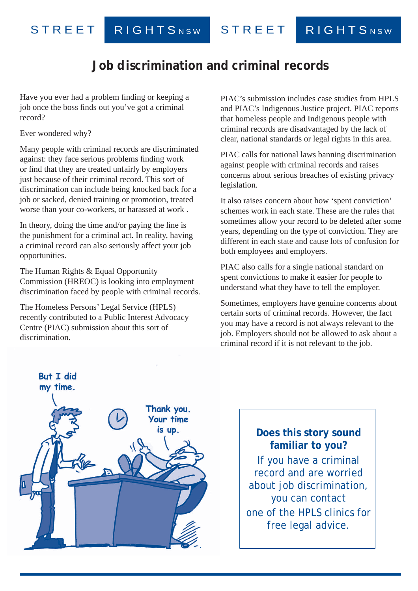# **Job discrimination and criminal records**

Have you ever had a problem finding or keeping a job once the boss finds out you've got a criminal record?

Ever wondered why?

Many people with criminal records are discriminated against: they face serious problems finding work or find that they are treated unfairly by employers just because of their criminal record. This sort of discrimination can include being knocked back for a job or sacked, denied training or promotion, treated worse than your co-workers, or harassed at work .

In theory, doing the time and/or paying the fine is the punishment for a criminal act. In reality, having a criminal record can also seriously affect your job opportunities.

The Human Rights & Equal Opportunity Commission (HREOC) is looking into employment discrimination faced by people with criminal records.

The Homeless Persons' Legal Service (HPLS) recently contributed to a Public Interest Advocacy Centre (PIAC) submission about this sort of discrimination.

PIAC's submission includes case studies from HPLS and PIAC's Indigenous Justice project. PIAC reports that homeless people and Indigenous people with criminal records are disadvantaged by the lack of clear, national standards or legal rights in this area.

PIAC calls for national laws banning discrimination against people with criminal records and raises concerns about serious breaches of existing privacy legislation.

It also raises concern about how 'spent conviction' schemes work in each state. These are the rules that sometimes allow your record to be deleted after some years, depending on the type of conviction. They are different in each state and cause lots of confusion for both employees and employers.

PIAC also calls for a single national standard on spent convictions to make it easier for people to understand what they have to tell the employer.

Sometimes, employers have genuine concerns about certain sorts of criminal records. However, the fact you may have a record is not always relevant to the job. Employers should not be allowed to ask about a criminal record if it is not relevant to the job.



**Does this story sound familiar to you?** If you have a criminal record and are worried about job discrimination, you can contact one of the HPLS clinics for free legal advice.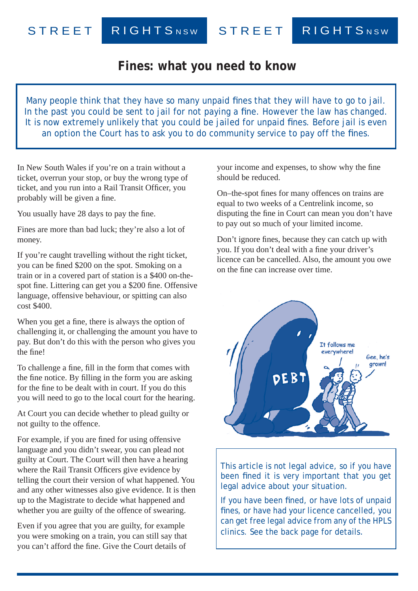#### **Fines: what you need to know**

Many people think that they have so many unpaid fines that they will have to go to jail. In the past you could be sent to jail for not paying a fine. However the law has changed. It is now extremely unlikely that you could be jailed for unpaid fines. Before jail is even an option the Court has to ask you to do community service to pay off the fines.

In New South Wales if you're on a train without a ticket, overrun your stop, or buy the wrong type of ticket, and you run into a Rail Transit Officer, you probably will be given a fine.

You usually have 28 days to pay the fine.

Fines are more than bad luck; they're also a lot of money.

If you're caught travelling without the right ticket, you can be fined \$200 on the spot. Smoking on a train or in a covered part of station is a \$400 on-thespot fine. Littering can get you a \$200 fine. Offensive language, offensive behaviour, or spitting can also cost \$400.

When you get a fine, there is always the option of challenging it, or challenging the amount you have to pay. But don't do this with the person who gives you the fine!

To challenge a fine, fill in the form that comes with the fine notice. By filling in the form you are asking for the fine to be dealt with in court. If you do this you will need to go to the local court for the hearing.

At Court you can decide whether to plead guilty or not guilty to the offence.

For example, if you are fined for using offensive language and you didn't swear, you can plead not guilty at Court. The Court will then have a hearing where the Rail Transit Officers give evidence by telling the court their version of what happened. You and any other witnesses also give evidence. It is then up to the Magistrate to decide what happened and whether you are guilty of the offence of swearing.

Even if you agree that you are guilty, for example you were smoking on a train, you can still say that you can't afford the fine. Give the Court details of

your income and expenses, to show why the fine should be reduced.

On–the-spot fines for many offences on trains are equal to two weeks of a Centrelink income, so disputing the fine in Court can mean you don't have to pay out so much of your limited income.

Don't ignore fines, because they can catch up with you. If you don't deal with a fine your driver's licence can be cancelled. Also, the amount you owe on the fine can increase over time.



This article is not legal advice, so if you have been fined it is very important that you get legal advice about your situation.

If you have been fined, or have lots of unpaid fines, or have had your licence cancelled, you can get free legal advice from any of the HPLS clinics. See the back page for details.